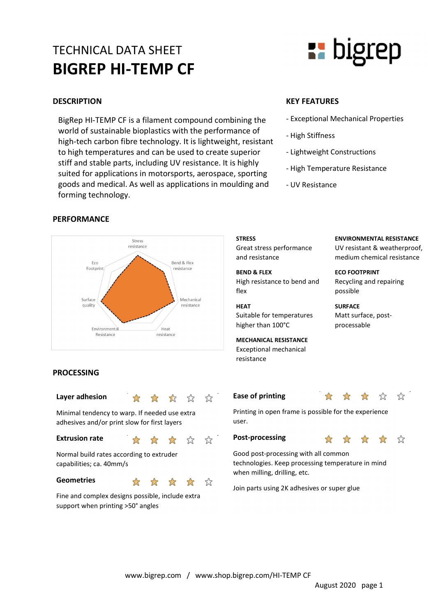## TECHNICAL DATA SHEET BIGREP HI-TEMP CF

BigRep HI-TEMP CF is a filament compound combining the world of sustainable bioplastics with the performance of high-tech carbon fibre technology. It is lightweight, resistant to high temperatures and can be used to create superior stiff and stable parts, including UV resistance. It is highly suited for applications in motorsports, aerospace, sporting goods and medical. As well as applications in moulding and forming technology.

#### PERFORMANCE



#### PROCESSING

| Layer adhesion                                                                                |  |  |  | * * * * * |  | Ease o                     |
|-----------------------------------------------------------------------------------------------|--|--|--|-----------|--|----------------------------|
| Minimal tendency to warp. If needed use extra<br>adhesives and/or print slow for first layers |  |  |  |           |  | Printing<br>user.          |
| <b>Extrusion rate</b>                                                                         |  |  |  | * * * * * |  | Post-p                     |
| Normal build rates according to extruder<br>capabilities; ca. 40mm/s                          |  |  |  |           |  | Good p<br>techno<br>when n |
| <b>Geometries</b>                                                                             |  |  |  | * * * * * |  | Join pa                    |
| Fine and complex designs possible, include extra<br>support when printing >50° angles         |  |  |  |           |  |                            |

# **E** bigrep

#### DESCRIPTION KEY FEATURES

- Exceptional Mechanical Properties
- High Stiffness
- Lightweight Constructions
- High Temperature Resistance
- UV Resistance

#### **STRESS**

Great stress performance and resistance

BEND & FLEX High resistance to bend and flex

#### HEAT

Suitable for temperatures higher than 100°C

MECHANICAL RESISTANCE Exceptional mechanical resistance

### ENVIRONMENTAL RESISTANCE

UV resistant & weatherproof, medium chemical resistance

ECO FOOTPRINT Recycling and repairing possible

**SURFACE** Matt surface, postprocessable

#### Ease of printing  $\frac{1}{2}$



☆

Printing in open frame is possible for the experience user.

#### Post-processing

Good post-processing with all common technologies. Keep processing temperature in mind when milling, drilling, etc.

Join parts using 2K adhesives or super glue

www.bigrep.com / www.shop.bigrep.com/HI-TEMP CF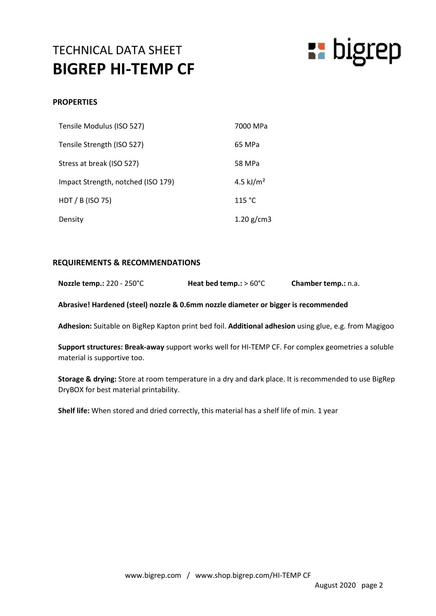## TECHNICAL DATA SHEET BIGREP HI-TEMP CF



#### **PROPERTIES**

| Tensile Modulus (ISO 527)          | 7000 MPa     |
|------------------------------------|--------------|
| Tensile Strength (ISO 527)         | 65 MPa       |
| Stress at break (ISO 527)          | 58 MPa       |
| Impact Strength, notched (ISO 179) | 4.5 $kJ/m2$  |
| HDT / B (ISO 75)                   | 115 °C       |
| Density                            | 1.20 $g/cm3$ |

#### REQUIREMENTS & RECOMMENDATIONS

|  | Nozzle temp.: 220 - 250°C | Heat bed temp.: $> 60^{\circ}$ C | Chamber temp.: n.a. |
|--|---------------------------|----------------------------------|---------------------|
|--|---------------------------|----------------------------------|---------------------|

Abrasive! Hardened (steel) nozzle & 0.6mm nozzle diameter or bigger is recommended

Adhesion: Suitable on BigRep Kapton print bed foil. Additional adhesion using glue, e.g. from Magigoo

Support structures: Break-away support works well for HI-TEMP CF. For complex geometries a soluble material is supportive too.

Storage & drying: Store at room temperature in a dry and dark place. It is recommended to use BigRep DryBOX for best material printability.

Shelf life: When stored and dried correctly, this material has a shelf life of min. 1 year